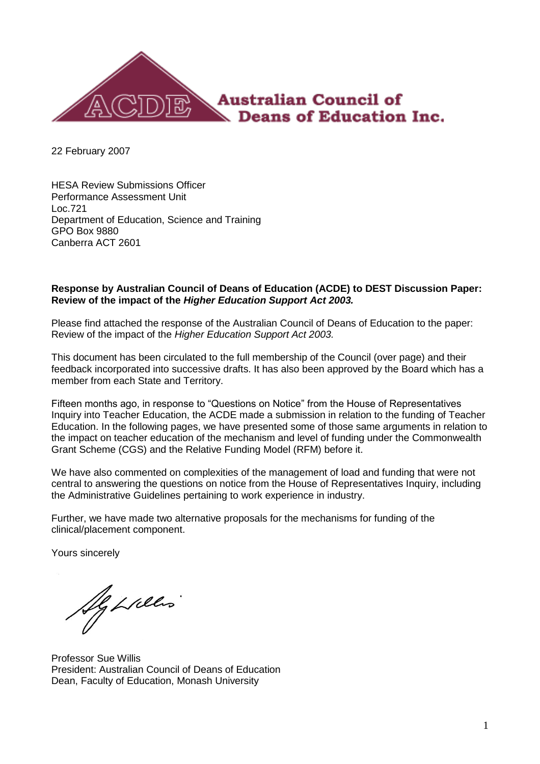

22 February 2007

HESA Review Submissions Officer Performance Assessment Unit Loc.721 Department of Education, Science and Training GPO Box 9880 Canberra ACT 2601

#### **Response by Australian Council of Deans of Education (ACDE) to DEST Discussion Paper: Review of the impact of the** *Higher Education Support Act 2003.*

Please find attached the response of the Australian Council of Deans of Education to the paper: Review of the impact of the *Higher Education Support Act 2003.*

This document has been circulated to the full membership of the Council (over page) and their feedback incorporated into successive drafts. It has also been approved by the Board which has a member from each State and Territory.

Fifteen months ago, in response to "Questions on Notice" from the House of Representatives Inquiry into Teacher Education, the ACDE made a submission in relation to the funding of Teacher Education. In the following pages, we have presented some of those same arguments in relation to the impact on teacher education of the mechanism and level of funding under the Commonwealth Grant Scheme (CGS) and the Relative Funding Model (RFM) before it.

We have also commented on complexities of the management of load and funding that were not central to answering the questions on notice from the House of Representatives Inquiry, including the Administrative Guidelines pertaining to work experience in industry.

Further, we have made two alternative proposals for the mechanisms for funding of the clinical/placement component.

Yours sincerely

Ig Lilles

Professor Sue Willis President: Australian Council of Deans of Education Dean, Faculty of Education, Monash University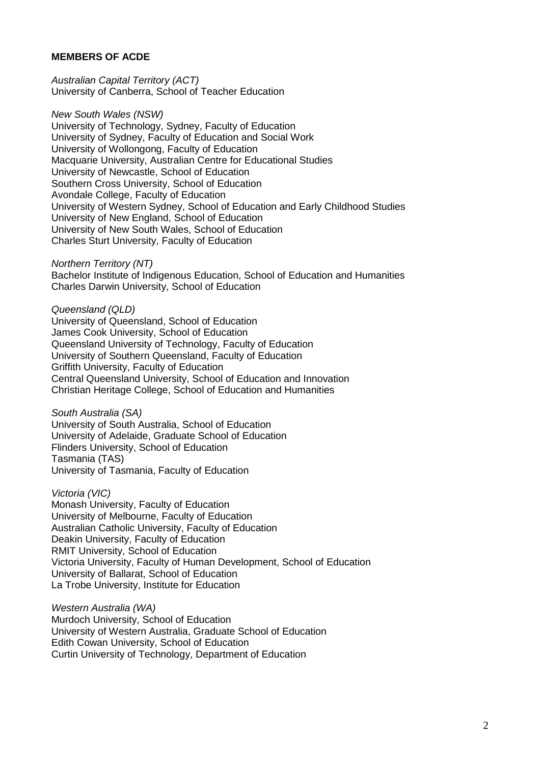#### **MEMBERS OF ACDE**

*Australian Capital Territory (ACT)* [University of Canberra, School of Teacher Education](http://comedu.canberra.edu.au/sc_details.cfm?ID=06)

*New South Wales (NSW)*

[University of Technology, Sydney, Faculty of Education](http://www.education.uts.edu.au/) [University of Sydney, Faculty of Education and Social Work](http://www.edfac.usyd.edu.au/) [University of Wollongong, Faculty of Education](http://www.uow.edu.au/educ/) [Macquarie University, Australian Centre for Educational Studies](http://www.aces.mq.edu.au/) [University of Newcastle, School of Education](http://www.newcastle.edu.au/school/education/index.html) [Southern Cross University, School of Education](http://www.scu.edu.au/schools/edu/) [Avondale College, Faculty of Education](http://www.avondale.edu.au/divisions/academic/education/index.php) [University of Western Sydney, School of Education and Early Childhood Studies](http://www.uws.edu.au/about/acadorg/caess/seecs) [University of New England, School of Education](http://fehps.une.edu.au/Education/) [University of New South Wales, School of Education](http://www.arts.unsw.edu.au/about/units.shtml) [Charles Sturt University, Faculty of Education](http://www.csu.edu.au/faculty/educat/office/)

*Northern Territory (NT)*

[Bachelor Institute of Indigenous Education, School of Education and Humanities](http://www.batchelor.edu.au/) [Charles Darwin University, School of Education](http://eagle.ntu.edu.au/NTU/Apps/coursere.nsf/CDU_PW_AreasInterest/58C08ADFC151981A69256DE6000BBCAF?OpenDocument)

*Queensland (QLD)* [University of Queensland, School of Education](http://www.uq.edu.au/education/) [James Cook University, School of Education](http://www.faess.jcu.edu.au/soe/) [Queensland University of Technology, Faculty of Education](http://education.qut.edu.au/) [University of Southern Queensland, Faculty of Education](http://www.usq.edu.au/faculty/educate/general/index.htm) [Griffith University, Faculty of Education](http://www.gu.edu.au/faculty/edu/) [Central Queensland University, School of Education and Innovation](http://www.edca.cqu.edu.au/home/cquentry.htm) [Christian Heritage College, School of Education and Humanities](http://www.chc.qld.edu.au/)

*South Australia (SA)*

[University of South Australia, School of Education](http://www.unisa.edu.au/eas/schools/eddefault.htm) [University of Adelaide, Graduate School of Education](http://www.adelaide.edu.au/professions/education/) [Flinders University, School of Education](http://ehlt.flinders.edu.au/education/) Tasmania (TAS) [University of Tasmania, Faculty of Education](http://www.educ.utas.edu.au/)

*Victoria (VIC)* [Monash University, Faculty of Education](http://www.education.monash.edu.au/) [University of Melbourne, Faculty of Education](http://www.edfac.unimelb.edu.au/) [Australian Catholic University, Faculty of Education](http://www.acu.edu.au/acu_national/organisational_structure/faculties/faculty_of_education.cfm) [Deakin University, Faculty of Education](http://education.deakin.edu.au/) [RMIT University, School of Education](http://www.rmit.edu.au/education) [Victoria University, Faculty of Human Development, School of Education](http://www.vu.edu.au/Faculties/Human%20Development/Schools/Education.asp) [University of Ballarat, School of Education](http://www.ballarat.edu.au/academic/education/) [La Trobe University, Institute for Education](http://www.latrobe.edu.au/ife/)

*Western Australia (WA)* [Murdoch University, School of Education](http://www.education.murdoch.edu.au/) [University of Western Australia, Graduate School of Education](http://www.gse.uwa.edu.au/) [Edith Cowan University, School of Education](http://www.ecu.edu.au/ses/educ/) [Curtin University of Technology, Department of Education](http://www.humanities.curtin.edu.au/cgi-bin/view?area=edu&dir=Home&page=Welcome)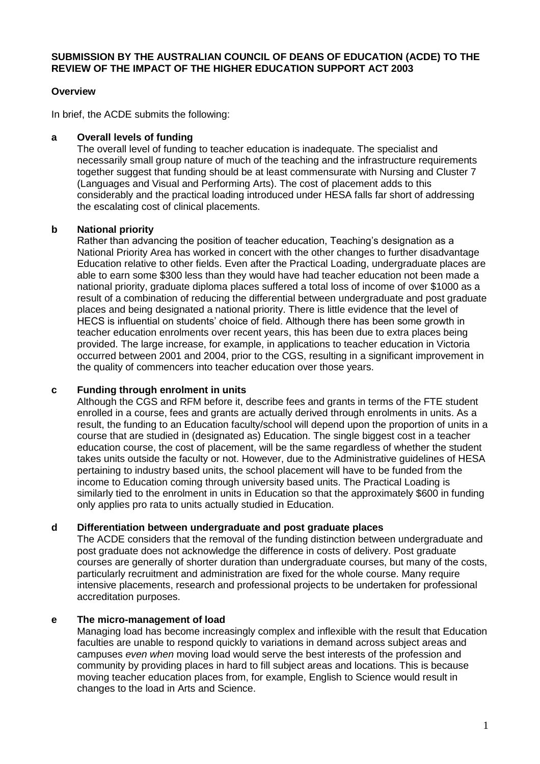## **SUBMISSION BY THE AUSTRALIAN COUNCIL OF DEANS OF EDUCATION (ACDE) TO THE REVIEW OF THE IMPACT OF THE HIGHER EDUCATION SUPPORT ACT 2003**

#### **Overview**

In brief, the ACDE submits the following:

## **a Overall levels of funding**

The overall level of funding to teacher education is inadequate. The specialist and necessarily small group nature of much of the teaching and the infrastructure requirements together suggest that funding should be at least commensurate with Nursing and Cluster 7 (Languages and Visual and Performing Arts). The cost of placement adds to this considerably and the practical loading introduced under HESA falls far short of addressing the escalating cost of clinical placements.

# **b National priority**

Rather than advancing the position of teacher education, Teaching"s designation as a National Priority Area has worked in concert with the other changes to further disadvantage Education relative to other fields. Even after the Practical Loading, undergraduate places are able to earn some \$300 less than they would have had teacher education not been made a national priority, graduate diploma places suffered a total loss of income of over \$1000 as a result of a combination of reducing the differential between undergraduate and post graduate places and being designated a national priority. There is little evidence that the level of HECS is influential on students" choice of field. Although there has been some growth in teacher education enrolments over recent years, this has been due to extra places being provided. The large increase, for example, in applications to teacher education in Victoria occurred between 2001 and 2004, prior to the CGS, resulting in a significant improvement in the quality of commencers into teacher education over those years.

#### **c Funding through enrolment in units**

Although the CGS and RFM before it, describe fees and grants in terms of the FTE student enrolled in a course, fees and grants are actually derived through enrolments in units. As a result, the funding to an Education faculty/school will depend upon the proportion of units in a course that are studied in (designated as) Education. The single biggest cost in a teacher education course, the cost of placement, will be the same regardless of whether the student takes units outside the faculty or not. However, due to the Administrative guidelines of HESA pertaining to industry based units, the school placement will have to be funded from the income to Education coming through university based units. The Practical Loading is similarly tied to the enrolment in units in Education so that the approximately \$600 in funding only applies pro rata to units actually studied in Education.

#### **d Differentiation between undergraduate and post graduate places**

The ACDE considers that the removal of the funding distinction between undergraduate and post graduate does not acknowledge the difference in costs of delivery. Post graduate courses are generally of shorter duration than undergraduate courses, but many of the costs, particularly recruitment and administration are fixed for the whole course. Many require intensive placements, research and professional projects to be undertaken for professional accreditation purposes.

#### **e The micro-management of load**

Managing load has become increasingly complex and inflexible with the result that Education faculties are unable to respond quickly to variations in demand across subject areas and campuses *even when* moving load would serve the best interests of the profession and community by providing places in hard to fill subject areas and locations. This is because moving teacher education places from, for example, English to Science would result in changes to the load in Arts and Science.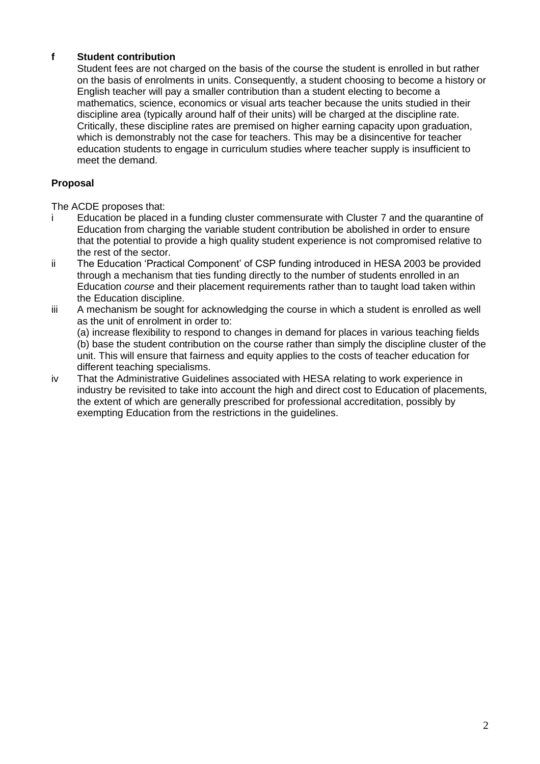# **f Student contribution**

Student fees are not charged on the basis of the course the student is enrolled in but rather on the basis of enrolments in units. Consequently, a student choosing to become a history or English teacher will pay a smaller contribution than a student electing to become a mathematics, science, economics or visual arts teacher because the units studied in their discipline area (typically around half of their units) will be charged at the discipline rate. Critically, these discipline rates are premised on higher earning capacity upon graduation, which is demonstrably not the case for teachers. This may be a disincentive for teacher education students to engage in curriculum studies where teacher supply is insufficient to meet the demand.

## **Proposal**

The ACDE proposes that:<br>i Fducation be placed

- Education be placed in a funding cluster commensurate with Cluster 7 and the quarantine of Education from charging the variable student contribution be abolished in order to ensure that the potential to provide a high quality student experience is not compromised relative to the rest of the sector.
- ii The Education "Practical Component" of CSP funding introduced in HESA 2003 be provided through a mechanism that ties funding directly to the number of students enrolled in an Education *course* and their placement requirements rather than to taught load taken within the Education discipline.
- iii A mechanism be sought for acknowledging the course in which a student is enrolled as well as the unit of enrolment in order to:

(a) increase flexibility to respond to changes in demand for places in various teaching fields (b) base the student contribution on the course rather than simply the discipline cluster of the unit. This will ensure that fairness and equity applies to the costs of teacher education for different teaching specialisms.

iv That the Administrative Guidelines associated with HESA relating to work experience in industry be revisited to take into account the high and direct cost to Education of placements, the extent of which are generally prescribed for professional accreditation, possibly by exempting Education from the restrictions in the guidelines.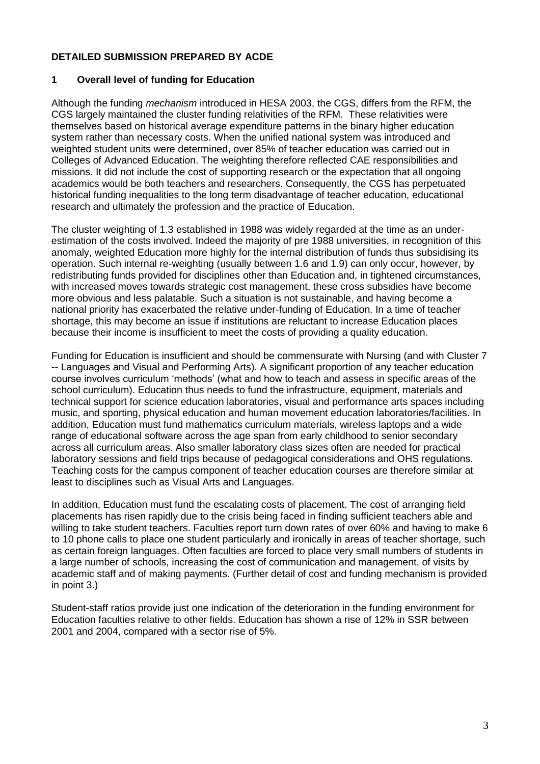# **DETAILED SUBMISSION PREPARED BY ACDE**

#### **1 Overall level of funding for Education**

Although the funding *mechanism* introduced in HESA 2003, the CGS, differs from the RFM, the CGS largely maintained the cluster funding relativities of the RFM. These relativities were themselves based on historical average expenditure patterns in the binary higher education system rather than necessary costs. When the unified national system was introduced and weighted student units were determined, over 85% of teacher education was carried out in Colleges of Advanced Education. The weighting therefore reflected CAE responsibilities and missions. It did not include the cost of supporting research or the expectation that all ongoing academics would be both teachers and researchers. Consequently, the CGS has perpetuated historical funding inequalities to the long term disadvantage of teacher education, educational research and ultimately the profession and the practice of Education.

The cluster weighting of 1.3 established in 1988 was widely regarded at the time as an underestimation of the costs involved. Indeed the majority of pre 1988 universities, in recognition of this anomaly, weighted Education more highly for the internal distribution of funds thus subsidising its operation. Such internal re-weighting (usually between 1.6 and 1.9) can only occur, however, by redistributing funds provided for disciplines other than Education and, in tightened circumstances, with increased moves towards strategic cost management, these cross subsidies have become more obvious and less palatable. Such a situation is not sustainable, and having become a national priority has exacerbated the relative under-funding of Education. In a time of teacher shortage, this may become an issue if institutions are reluctant to increase Education places because their income is insufficient to meet the costs of providing a quality education.

Funding for Education is insufficient and should be commensurate with Nursing (and with Cluster 7 -- Languages and Visual and Performing Arts). A significant proportion of any teacher education course involves curriculum "methods" (what and how to teach and assess in specific areas of the school curriculum). Education thus needs to fund the infrastructure, equipment, materials and technical support for science education laboratories, visual and performance arts spaces including music, and sporting, physical education and human movement education laboratories/facilities. In addition, Education must fund mathematics curriculum materials, wireless laptops and a wide range of educational software across the age span from early childhood to senior secondary across all curriculum areas. Also smaller laboratory class sizes often are needed for practical laboratory sessions and field trips because of pedagogical considerations and OHS regulations. Teaching costs for the campus component of teacher education courses are therefore similar at least to disciplines such as Visual Arts and Languages.

In addition, Education must fund the escalating costs of placement. The cost of arranging field placements has risen rapidly due to the crisis being faced in finding sufficient teachers able and willing to take student teachers. Faculties report turn down rates of over 60% and having to make 6 to 10 phone calls to place one student particularly and ironically in areas of teacher shortage, such as certain foreign languages. Often faculties are forced to place very small numbers of students in a large number of schools, increasing the cost of communication and management, of visits by academic staff and of making payments. (Further detail of cost and funding mechanism is provided in point 3.)

Student-staff ratios provide just one indication of the deterioration in the funding environment for Education faculties relative to other fields. Education has shown a rise of 12% in SSR between 2001 and 2004, compared with a sector rise of 5%.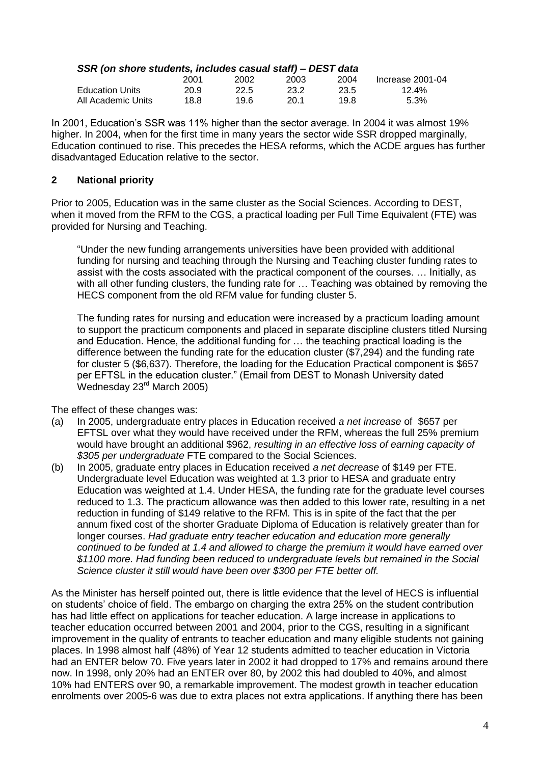## *SSR (on shore students, includes casual staff) – DEST data*

|                        | 2001 | 2002 | 2003 | 2004  | Increase 2001-04 |
|------------------------|------|------|------|-------|------------------|
| <b>Education Units</b> | 20.9 | 22.5 | 23.2 | -23.5 | 12.4%            |
| All Academic Units .   | 18.8 | 19.6 | 20.1 | 19.8  | $5.3\%$          |

In 2001, Education"s SSR was 11% higher than the sector average. In 2004 it was almost 19% higher. In 2004, when for the first time in many years the sector wide SSR dropped marginally, Education continued to rise. This precedes the HESA reforms, which the ACDE argues has further disadvantaged Education relative to the sector.

# **2 National priority**

Prior to 2005, Education was in the same cluster as the Social Sciences. According to DEST, when it moved from the RFM to the CGS, a practical loading per Full Time Equivalent (FTE) was provided for Nursing and Teaching.

"Under the new funding arrangements universities have been provided with additional funding for nursing and teaching through the Nursing and Teaching cluster funding rates to assist with the costs associated with the practical component of the courses. … Initially, as with all other funding clusters, the funding rate for … Teaching was obtained by removing the HECS component from the old RFM value for funding cluster 5.

The funding rates for nursing and education were increased by a practicum loading amount to support the practicum components and placed in separate discipline clusters titled Nursing and Education. Hence, the additional funding for … the teaching practical loading is the difference between the funding rate for the education cluster (\$7,294) and the funding rate for cluster 5 (\$6,637). Therefore, the loading for the Education Practical component is \$657 per EFTSL in the education cluster." (Email from DEST to Monash University dated Wednesday 23rd March 2005)

The effect of these changes was:

- (a) In 2005, undergraduate entry places in Education received *a net increase* of \$657 per EFTSL over what they would have received under the RFM, whereas the full 25% premium would have brought an additional \$962, *resulting in an effective loss of earning capacity of \$305 per undergraduate* FTE compared to the Social Sciences.
- (b) In 2005, graduate entry places in Education received *a net decrease* of \$149 per FTE. Undergraduate level Education was weighted at 1.3 prior to HESA and graduate entry Education was weighted at 1.4. Under HESA, the funding rate for the graduate level courses reduced to 1.3. The practicum allowance was then added to this lower rate, resulting in a net reduction in funding of \$149 relative to the RFM. This is in spite of the fact that the per annum fixed cost of the shorter Graduate Diploma of Education is relatively greater than for longer courses. *Had graduate entry teacher education and education more generally continued to be funded at 1.4 and allowed to charge the premium it would have earned over \$1100 more. Had funding been reduced to undergraduate levels but remained in the Social Science cluster it still would have been over \$300 per FTE better off.*

As the Minister has herself pointed out, there is little evidence that the level of HECS is influential on students" choice of field. The embargo on charging the extra 25% on the student contribution has had little effect on applications for teacher education. A large increase in applications to teacher education occurred between 2001 and 2004, prior to the CGS, resulting in a significant improvement in the quality of entrants to teacher education and many eligible students not gaining places. In 1998 almost half (48%) of Year 12 students admitted to teacher education in Victoria had an ENTER below 70. Five years later in 2002 it had dropped to 17% and remains around there now. In 1998, only 20% had an ENTER over 80, by 2002 this had doubled to 40%, and almost 10% had ENTERS over 90, a remarkable improvement. The modest growth in teacher education enrolments over 2005-6 was due to extra places not extra applications. If anything there has been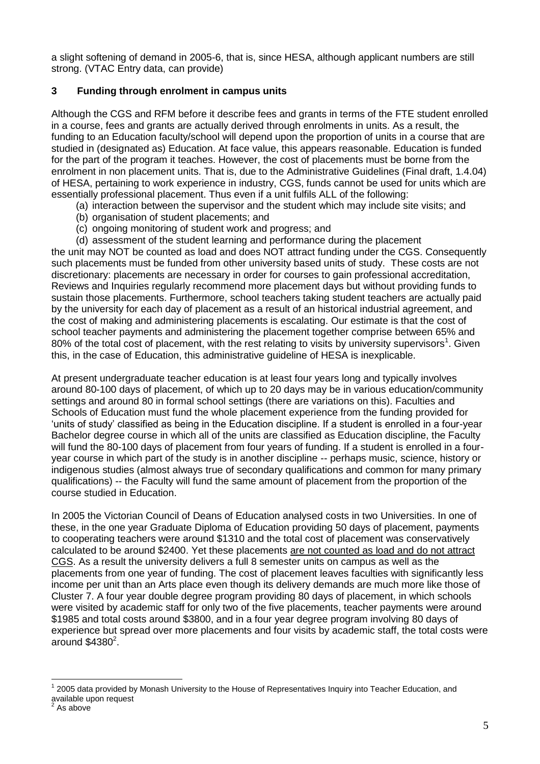a slight softening of demand in 2005-6, that is, since HESA, although applicant numbers are still strong. (VTAC Entry data, can provide)

# **3 Funding through enrolment in campus units**

Although the CGS and RFM before it describe fees and grants in terms of the FTE student enrolled in a course, fees and grants are actually derived through enrolments in units. As a result, the funding to an Education faculty/school will depend upon the proportion of units in a course that are studied in (designated as) Education. At face value, this appears reasonable. Education is funded for the part of the program it teaches. However, the cost of placements must be borne from the enrolment in non placement units. That is, due to the Administrative Guidelines (Final draft, 1.4.04) of HESA, pertaining to work experience in industry, CGS, funds cannot be used for units which are essentially professional placement. Thus even if a unit fulfils ALL of the following:

- (a) interaction between the supervisor and the student which may include site visits; and
- (b) organisation of student placements; and
- (c) ongoing monitoring of student work and progress; and
- (d) assessment of the student learning and performance during the placement

the unit may NOT be counted as load and does NOT attract funding under the CGS. Consequently such placements must be funded from other university based units of study. These costs are not discretionary: placements are necessary in order for courses to gain professional accreditation, Reviews and Inquiries regularly recommend more placement days but without providing funds to sustain those placements. Furthermore, school teachers taking student teachers are actually paid by the university for each day of placement as a result of an historical industrial agreement, and the cost of making and administering placements is escalating. Our estimate is that the cost of school teacher payments and administering the placement together comprise between 65% and 80% of the total cost of placement, with the rest relating to visits by university supervisors<sup>1</sup>. Given this, in the case of Education, this administrative guideline of HESA is inexplicable.

At present undergraduate teacher education is at least four years long and typically involves around 80-100 days of placement, of which up to 20 days may be in various education/community settings and around 80 in formal school settings (there are variations on this). Faculties and Schools of Education must fund the whole placement experience from the funding provided for "units of study" classified as being in the Education discipline. If a student is enrolled in a four-year Bachelor degree course in which all of the units are classified as Education discipline, the Faculty will fund the 80-100 days of placement from four years of funding. If a student is enrolled in a fouryear course in which part of the study is in another discipline -- perhaps music, science, history or indigenous studies (almost always true of secondary qualifications and common for many primary qualifications) -- the Faculty will fund the same amount of placement from the proportion of the course studied in Education.

In 2005 the Victorian Council of Deans of Education analysed costs in two Universities. In one of these, in the one year Graduate Diploma of Education providing 50 days of placement, payments to cooperating teachers were around \$1310 and the total cost of placement was conservatively calculated to be around \$2400. Yet these placements are not counted as load and do not attract CGS. As a result the university delivers a full 8 semester units on campus as well as the placements from one year of funding. The cost of placement leaves faculties with significantly less income per unit than an Arts place even though its delivery demands are much more like those of Cluster 7. A four year double degree program providing 80 days of placement, in which schools were visited by academic staff for only two of the five placements, teacher payments were around \$1985 and total costs around \$3800, and in a four year degree program involving 80 days of experience but spread over more placements and four visits by academic staff, the total costs were around  $$4380<sup>2</sup>$ .

 $\overline{a}$ 1 2005 data provided by Monash University to the House of Representatives Inquiry into Teacher Education, and available upon request<br><sup>2</sup> As above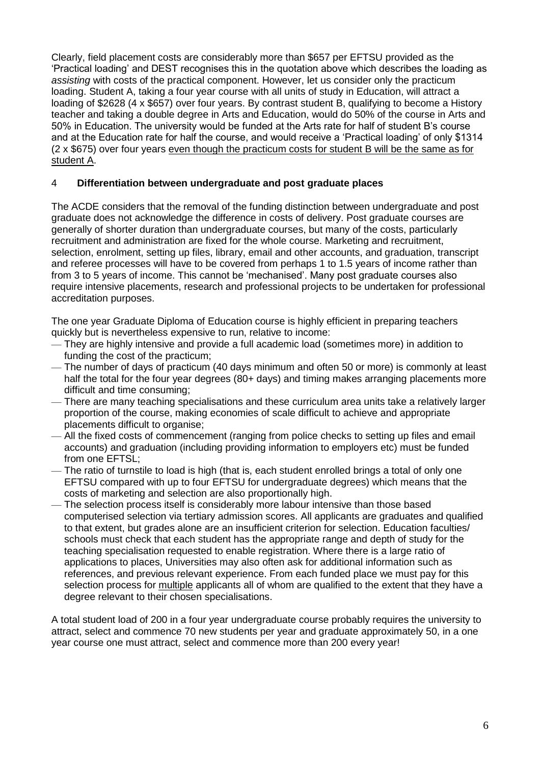Clearly, field placement costs are considerably more than \$657 per EFTSU provided as the "Practical loading" and DEST recognises this in the quotation above which describes the loading as *assisting* with costs of the practical component. However, let us consider only the practicum loading. Student A, taking a four year course with all units of study in Education, will attract a loading of \$2628 (4 x \$657) over four years. By contrast student B, qualifying to become a History teacher and taking a double degree in Arts and Education, would do 50% of the course in Arts and 50% in Education. The university would be funded at the Arts rate for half of student B"s course and at the Education rate for half the course, and would receive a "Practical loading" of only \$1314 (2 x \$675) over four years even though the practicum costs for student B will be the same as for student A.

# 4 **Differentiation between undergraduate and post graduate places**

The ACDE considers that the removal of the funding distinction between undergraduate and post graduate does not acknowledge the difference in costs of delivery. Post graduate courses are generally of shorter duration than undergraduate courses, but many of the costs, particularly recruitment and administration are fixed for the whole course. Marketing and recruitment, selection, enrolment, setting up files, library, email and other accounts, and graduation, transcript and referee processes will have to be covered from perhaps 1 to 1.5 years of income rather than from 3 to 5 years of income. This cannot be "mechanised". Many post graduate courses also require intensive placements, research and professional projects to be undertaken for professional accreditation purposes.

The one year Graduate Diploma of Education course is highly efficient in preparing teachers quickly but is nevertheless expensive to run, relative to income:

- They are highly intensive and provide a full academic load (sometimes more) in addition to funding the cost of the practicum;
- The number of days of practicum (40 days minimum and often 50 or more) is commonly at least half the total for the four year degrees (80+ days) and timing makes arranging placements more difficult and time consuming;
- There are many teaching specialisations and these curriculum area units take a relatively larger proportion of the course, making economies of scale difficult to achieve and appropriate placements difficult to organise;
- All the fixed costs of commencement (ranging from police checks to setting up files and email accounts) and graduation (including providing information to employers etc) must be funded from one EFTSL;
- The ratio of turnstile to load is high (that is, each student enrolled brings a total of only one EFTSU compared with up to four EFTSU for undergraduate degrees) which means that the costs of marketing and selection are also proportionally high.
- The selection process itself is considerably more labour intensive than those based computerised selection via tertiary admission scores. All applicants are graduates and qualified to that extent, but grades alone are an insufficient criterion for selection. Education faculties/ schools must check that each student has the appropriate range and depth of study for the teaching specialisation requested to enable registration. Where there is a large ratio of applications to places, Universities may also often ask for additional information such as references, and previous relevant experience. From each funded place we must pay for this selection process for multiple applicants all of whom are qualified to the extent that they have a degree relevant to their chosen specialisations.

A total student load of 200 in a four year undergraduate course probably requires the university to attract, select and commence 70 new students per year and graduate approximately 50, in a one year course one must attract, select and commence more than 200 every year!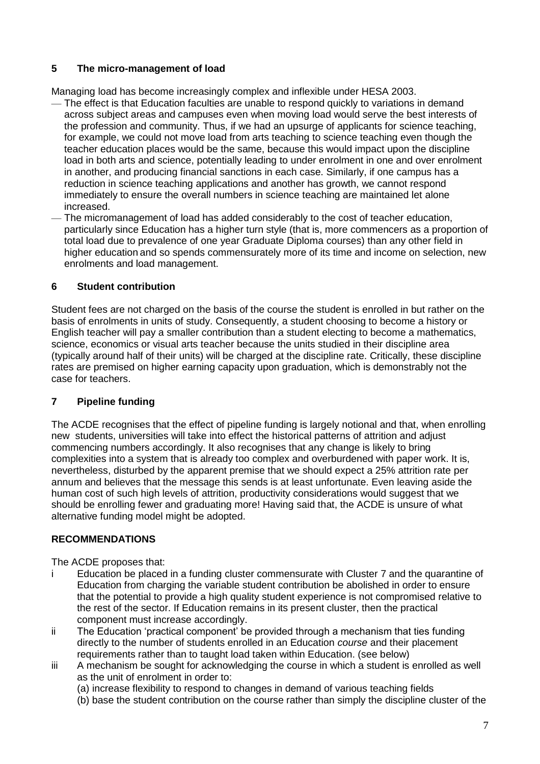# **5 The micro-management of load**

Managing load has become increasingly complex and inflexible under HESA 2003.

- The effect is that Education faculties are unable to respond quickly to variations in demand across subject areas and campuses even when moving load would serve the best interests of the profession and community. Thus, if we had an upsurge of applicants for science teaching, for example, we could not move load from arts teaching to science teaching even though the teacher education places would be the same, because this would impact upon the discipline load in both arts and science, potentially leading to under enrolment in one and over enrolment in another, and producing financial sanctions in each case. Similarly, if one campus has a reduction in science teaching applications and another has growth, we cannot respond immediately to ensure the overall numbers in science teaching are maintained let alone increased.
- The micromanagement of load has added considerably to the cost of teacher education, particularly since Education has a higher turn style (that is, more commencers as a proportion of total load due to prevalence of one year Graduate Diploma courses) than any other field in higher education and so spends commensurately more of its time and income on selection, new enrolments and load management.

# **6 Student contribution**

Student fees are not charged on the basis of the course the student is enrolled in but rather on the basis of enrolments in units of study. Consequently, a student choosing to become a history or English teacher will pay a smaller contribution than a student electing to become a mathematics, science, economics or visual arts teacher because the units studied in their discipline area (typically around half of their units) will be charged at the discipline rate. Critically, these discipline rates are premised on higher earning capacity upon graduation, which is demonstrably not the case for teachers.

# **7 Pipeline funding**

The ACDE recognises that the effect of pipeline funding is largely notional and that, when enrolling new students, universities will take into effect the historical patterns of attrition and adjust commencing numbers accordingly. It also recognises that any change is likely to bring complexities into a system that is already too complex and overburdened with paper work. It is, nevertheless, disturbed by the apparent premise that we should expect a 25% attrition rate per annum and believes that the message this sends is at least unfortunate. Even leaving aside the human cost of such high levels of attrition, productivity considerations would suggest that we should be enrolling fewer and graduating more! Having said that, the ACDE is unsure of what alternative funding model might be adopted.

# **RECOMMENDATIONS**

The ACDE proposes that:

- i Education be placed in a funding cluster commensurate with Cluster 7 and the quarantine of Education from charging the variable student contribution be abolished in order to ensure that the potential to provide a high quality student experience is not compromised relative to the rest of the sector. If Education remains in its present cluster, then the practical component must increase accordingly.
- ii The Education "practical component" be provided through a mechanism that ties funding directly to the number of students enrolled in an Education *course* and their placement requirements rather than to taught load taken within Education. (see below)
- iii A mechanism be sought for acknowledging the course in which a student is enrolled as well as the unit of enrolment in order to:

(a) increase flexibility to respond to changes in demand of various teaching fields

(b) base the student contribution on the course rather than simply the discipline cluster of the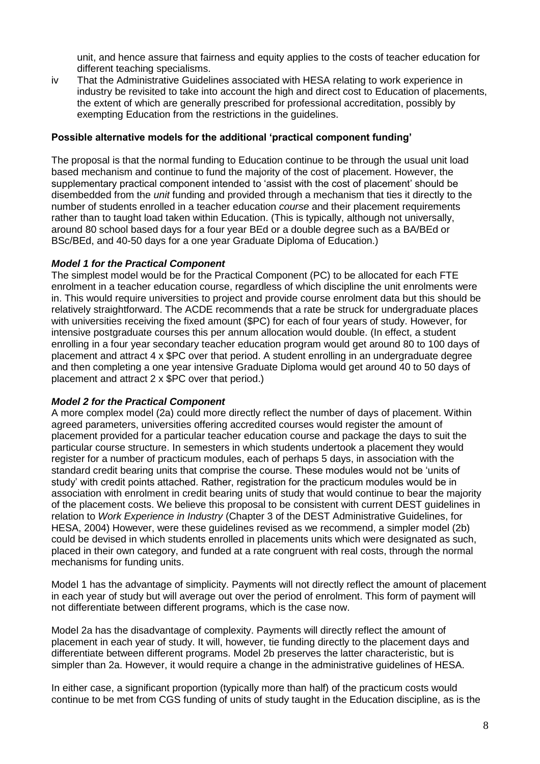unit, and hence assure that fairness and equity applies to the costs of teacher education for different teaching specialisms.

iv That the Administrative Guidelines associated with HESA relating to work experience in industry be revisited to take into account the high and direct cost to Education of placements, the extent of which are generally prescribed for professional accreditation, possibly by exempting Education from the restrictions in the guidelines.

# **Possible alternative models for the additional 'practical component funding'**

The proposal is that the normal funding to Education continue to be through the usual unit load based mechanism and continue to fund the majority of the cost of placement. However, the supplementary practical component intended to 'assist with the cost of placement' should be disembedded from the *unit* funding and provided through a mechanism that ties it directly to the number of students enrolled in a teacher education *course* and their placement requirements rather than to taught load taken within Education. (This is typically, although not universally, around 80 school based days for a four year BEd or a double degree such as a BA/BEd or BSc/BEd, and 40-50 days for a one year Graduate Diploma of Education.)

# *Model 1 for the Practical Component*

The simplest model would be for the Practical Component (PC) to be allocated for each FTE enrolment in a teacher education course, regardless of which discipline the unit enrolments were in. This would require universities to project and provide course enrolment data but this should be relatively straightforward. The ACDE recommends that a rate be struck for undergraduate places with universities receiving the fixed amount (\$PC) for each of four years of study. However, for intensive postgraduate courses this per annum allocation would double. (In effect, a student enrolling in a four year secondary teacher education program would get around 80 to 100 days of placement and attract 4 x \$PC over that period. A student enrolling in an undergraduate degree and then completing a one year intensive Graduate Diploma would get around 40 to 50 days of placement and attract 2 x \$PC over that period.)

#### *Model 2 for the Practical Component*

A more complex model (2a) could more directly reflect the number of days of placement. Within agreed parameters, universities offering accredited courses would register the amount of placement provided for a particular teacher education course and package the days to suit the particular course structure. In semesters in which students undertook a placement they would register for a number of practicum modules, each of perhaps 5 days, in association with the standard credit bearing units that comprise the course. These modules would not be "units of study" with credit points attached. Rather, registration for the practicum modules would be in association with enrolment in credit bearing units of study that would continue to bear the majority of the placement costs. We believe this proposal to be consistent with current DEST guidelines in relation to *Work Experience in Industry* (Chapter 3 of the DEST Administrative Guidelines, for HESA, 2004) However, were these guidelines revised as we recommend, a simpler model (2b) could be devised in which students enrolled in placements units which were designated as such, placed in their own category, and funded at a rate congruent with real costs, through the normal mechanisms for funding units.

Model 1 has the advantage of simplicity. Payments will not directly reflect the amount of placement in each year of study but will average out over the period of enrolment. This form of payment will not differentiate between different programs, which is the case now.

Model 2a has the disadvantage of complexity. Payments will directly reflect the amount of placement in each year of study. It will, however, tie funding directly to the placement days and differentiate between different programs. Model 2b preserves the latter characteristic, but is simpler than 2a. However, it would require a change in the administrative guidelines of HESA.

In either case, a significant proportion (typically more than half) of the practicum costs would continue to be met from CGS funding of units of study taught in the Education discipline, as is the